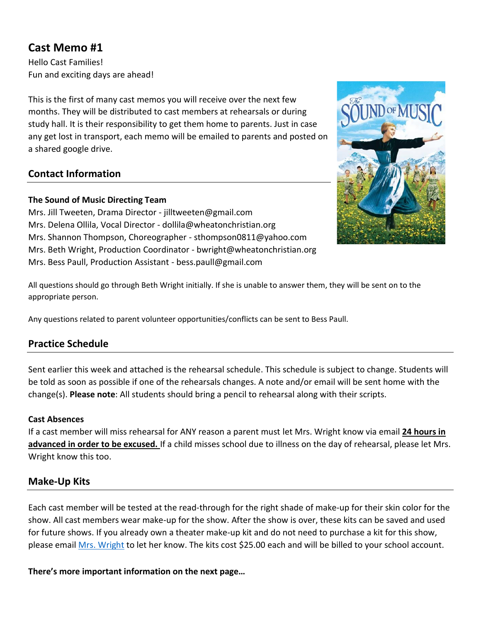# **Cast Memo #1**

Hello Cast Families! Fun and exciting days are ahead!

This is the first of many cast memos you will receive over the next few months. They will be distributed to cast members at rehearsals or during study hall. It is their responsibility to get them home to parents. Just in case any get lost in transport, each memo will be emailed to parents and posted on a shared google drive.

# **Contact Information**

### **The Sound of Music Directing Team**

Mrs. Jill Tweeten, Drama Director - [jilltweeten@gmail.com](mailto:jilltweeten@gmail.com) Mrs. Delena Ollila, Vocal Director - dollila@wheatonchristian.org Mrs. Shannon Thompson, Choreographer - [sthompson0811@yahoo.com](mailto:sthompson0811@yahoo.com) Mrs. Beth Wright, Production Coordinator - bwright@wheatonchristian.org Mrs. Bess Paull, Production Assistant - [bess.paull@gmail.com](mailto:bess.paull@gmail.com)



All questions should go through Beth Wright initially. If she is unable to answer them, they will be sent on to the appropriate person.

Any questions related to parent volunteer opportunities/conflicts can be sent to Bess Paull.

# **Practice Schedule**

Sent earlier this week and attached is the rehearsal schedule. This schedule is subject to change. Students will be told as soon as possible if one of the rehearsals changes. A note and/or email will be sent home with the change(s). **Please note**: All students should bring a pencil to rehearsal along with their scripts.

#### **Cast Absences**

If a cast member will miss rehearsal for ANY reason a parent must let Mrs. Wright know via email **24 hours in advanced in order to be excused.** If a child misses school due to illness on the day of rehearsal, please let Mrs. Wright know this too.

# **Make-Up Kits**

Each cast member will be tested at the read-through for the right shade of make-up for their skin color for the show. All cast members wear make-up for the show. After the show is over, these kits can be saved and used for future shows. If you already own a theater make-up kit and do not need to purchase a kit for this show, please emai[l Mrs. Wright](mailto:bwright@wheatonchristian.org) to let her know. The kits cost \$25.00 each and will be billed to your school account.

#### **There's more important information on the next page…**